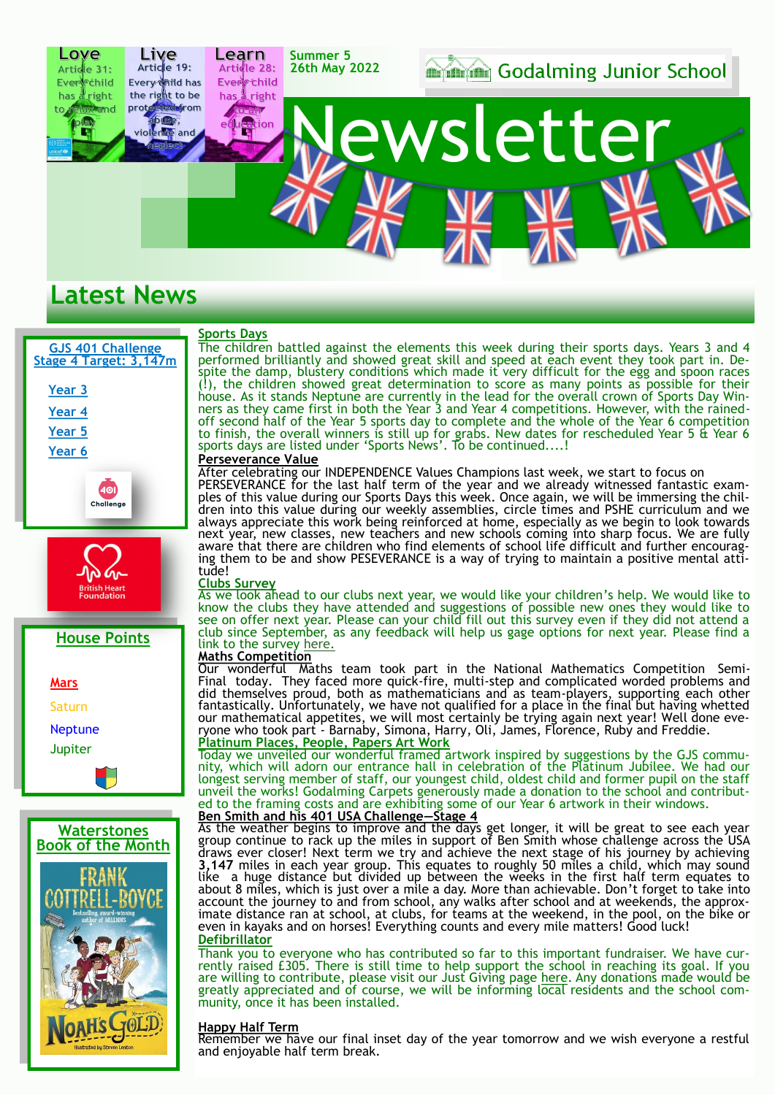

### **Latest News**

### **GJS 401 Challenge Stage 4 Target: 3,147m [Year 3](https://forms.office.com/Pages/ResponsePage.aspx?id=J9Gp85KM2kCr8elXJuKT4VGwSvItnNlKqpT8uAuJGo5URUo0NTlXN1dCN1lSVU5DMVYwSkhUUUMxTi4u) [Year 4](https://forms.office.com/Pages/ResponsePage.aspx?id=J9Gp85KM2kCr8elXJuKT4VGwSvItnNlKqpT8uAuJGo5UMUdNMlRJMVA3QU9VTVlFM0UzRjQ5V1gySi4u) [Year 5](https://forms.office.com/Pages/ResponsePage.aspx?id=J9Gp85KM2kCr8elXJuKT4VGwSvItnNlKqpT8uAuJGo5UNThBUDNHRDBFRFdLVEU4VzhXMDhHRExPOS4u) [Year 6](https://forms.office.com/Pages/ResponsePage.aspx?id=J9Gp85KM2kCr8elXJuKT4VGwSvItnNlKqpT8uAuJGo5URU9UT0wyWEZNRklGMk9RVUpCRlJVVTUxVC4u)** 40 Challenge







#### **Sports Days**

The children battled against the elements this week during their sports days. Years 3 and 4 performed brilliantly and showed great skill and speed at each event they took part in. Despite the damp, blustery conditions which made it very difficult for the egg and spoon races (!), the children showed great determination to score as many points as possible for their house. As it stands Neptune are currently in the lead for the overall crown of Sports Day Winners as they came first in both the Year 3 and Year 4 competitions. However, with the rainedoff second half of the Year 5 sports day to complete and the whole of the Year 6 competition to finish, the overall winners is still up for grabs. New dates for rescheduled Year 5  $\ddot{\text{t}}$  Year 6 sports days are listed under 'Sports News'. To be continued....!

### **Perseverance Value**

After celebrating our INDEPENDENCE Values Champions last week, we start to focus on PERSEVERANCE for the last half term of the year and we already witnessed fantastic examples of this value during our Sports Days this week. Once again, we will be immersing the children into this value during our weekly assemblies, circle times and PSHE curriculum and we always appreciate this work being reinforced at home, especially as we begin to look towards next year, new classes, new teachers and new schools coming into sharp focus. We are fully aware that there are children who find elements of school life difficult and further encouraging them to be and show PESEVERANCE is a way of trying to maintain a positive mental attitude!

#### **Clubs Survey**

As we look ahead to our clubs next year, we would like your children's help. We would like to know the clubs they have attended and suggestions of possible new ones they would like to see on offer next year. Please can your child fill out this survey even if they did not attend a club since September, as any feedback will help us gage options for next year. Please find a link to the survey [here.](https://forms.office.com/Pages/ResponsePage.aspx?id=J9Gp85KM2kCr8elXJuKT4VGwSvItnNlKqpT8uAuJGo5UQlM2MkZWN0FQNDZKRVlBRE9ORDRFRFU5VS4u)

### **Maths Competition**

Our wonderful Maths team took part in the National Mathematics Competition Semi-Final today. They faced more quick-fire, multi-step and complicated worded problems and did themselves proud, both as mathematicians and as team-players, supporting each other fantastically. Unfortunately, we have not qualified for a place in the final but having whetted our mathematical appetites, we will most certainly be trying again next year! Well done everyone who took part - Barnaby, Simona, Harry, Oli, James, Florence, Ruby and Freddie. **Platinum Places, People, Papers Art Work**

Today we unveiled our wonderful framed artwork inspired by suggestions by the GJS community, which will adorn our entrance hall in celebration of the Platinum Jubilee. We had our longest serving member of staff, our youngest child, oldest child and former pupil on the staff unveil the works! Godalming Carpets generously made a donation to the school and contributed to the framing costs and are exhibiting some of our Year 6 artwork in their windows.

### **Ben Smith and his 401 USA Challenge—Stage 4**

As the weather begins to improve and the days get longer, it will be great to see each year group continue to rack up the miles in support of Ben Smith whose challenge across the USA draws ever closer! Next term we try and achieve the next stage of his journey by achieving **3,147** miles in each year group. This equates to roughly 50 miles a child, which may sound like a huge distance but divided up between the weeks in the first half term equates to about 8 miles, which is just over a mile a day. More than achievable. Don't forget to take into account the journey to and from school, any walks after school and at weekends, the approximate distance ran at school, at clubs, for teams at the weekend, in the pool, on the bike or even in kayaks and on horses! Everything counts and every mile matters! Good luck! **Defibrillator**

Thank you to everyone who has contributed so far to this important fundraiser. We have currently raised £305. There is still time to help support the school in reaching its goal. If you are willing to contribute, please visit our Just Giving page [here.](https://www.justgiving.com/crowdfunding/godalmingjunior-school-1) Any donations made would be greatly appreciated and of course, we will be informing local residents and the school community, once it has been installed.

### **Happy Half Term**

Remember we have our final inset day of the year tomorrow and we wish everyone a restful and enjoyable half term break.